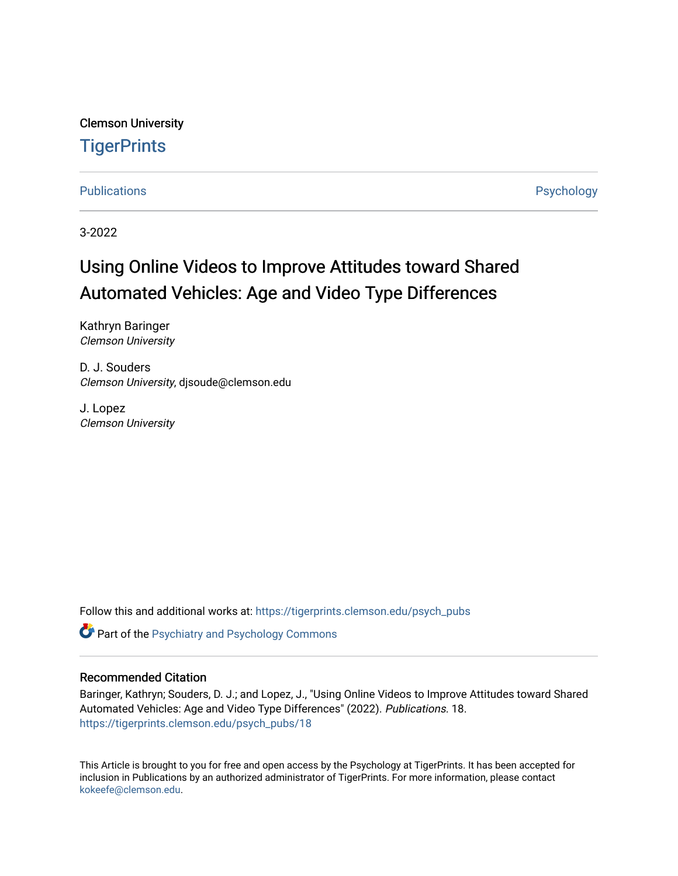Clemson University **TigerPrints** 

[Publications](https://tigerprints.clemson.edu/psych_pubs) **Publications** Psychology

3-2022

# Using Online Videos to Improve Attitudes toward Shared Automated Vehicles: Age and Video Type Differences

Kathryn Baringer Clemson University

D. J. Souders Clemson University, djsoude@clemson.edu

J. Lopez Clemson University

Follow this and additional works at: [https://tigerprints.clemson.edu/psych\\_pubs](https://tigerprints.clemson.edu/psych_pubs?utm_source=tigerprints.clemson.edu%2Fpsych_pubs%2F18&utm_medium=PDF&utm_campaign=PDFCoverPages)

**C** Part of the Psychiatry and Psychology Commons

#### Recommended Citation

Baringer, Kathryn; Souders, D. J.; and Lopez, J., "Using Online Videos to Improve Attitudes toward Shared Automated Vehicles: Age and Video Type Differences" (2022). Publications. 18. [https://tigerprints.clemson.edu/psych\\_pubs/18](https://tigerprints.clemson.edu/psych_pubs/18?utm_source=tigerprints.clemson.edu%2Fpsych_pubs%2F18&utm_medium=PDF&utm_campaign=PDFCoverPages) 

This Article is brought to you for free and open access by the Psychology at TigerPrints. It has been accepted for inclusion in Publications by an authorized administrator of TigerPrints. For more information, please contact [kokeefe@clemson.edu](mailto:kokeefe@clemson.edu).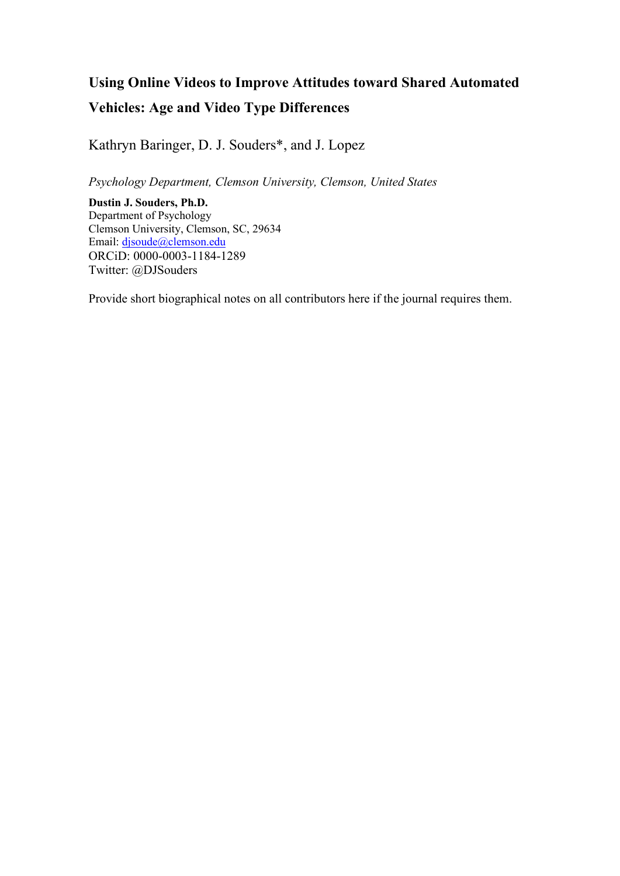# **Using Online Videos to Improve Attitudes toward Shared Automated Vehicles: Age and Video Type Differences**

Kathryn Baringer, D. J. Souders\*, and J. Lopez

*Psychology Department, Clemson University, Clemson, United States*

**Dustin J. Souders, Ph.D.** Department of Psychology Clemson University, Clemson, SC, 29634 Email: [djsoude@clemson.edu](mailto:djsoude@clemson.edu) ORCiD: 0000-0003-1184-1289 Twitter: @DJSouders

Provide short biographical notes on all contributors here if the journal requires them.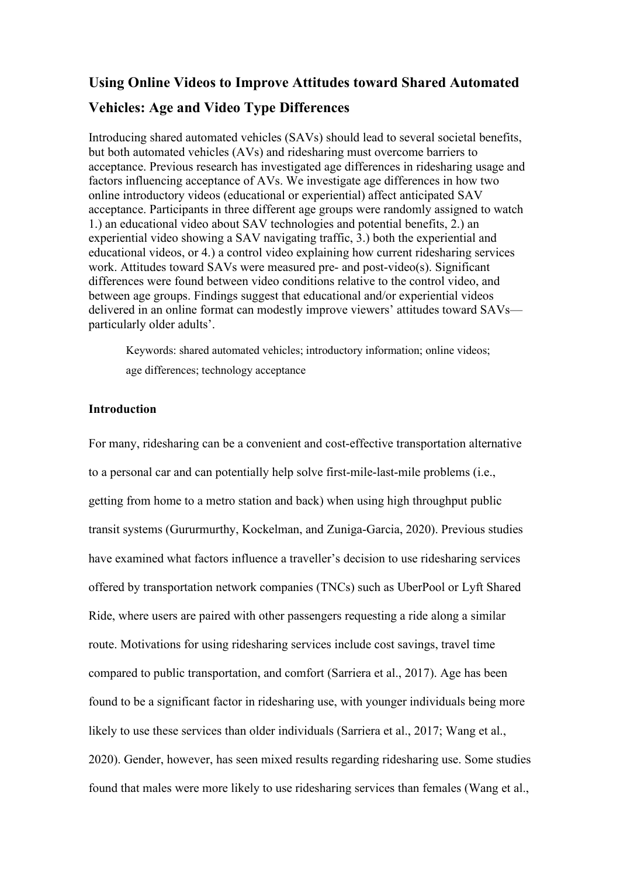# **Using Online Videos to Improve Attitudes toward Shared Automated Vehicles: Age and Video Type Differences**

Introducing shared automated vehicles (SAVs) should lead to several societal benefits, but both automated vehicles (AVs) and ridesharing must overcome barriers to acceptance. Previous research has investigated age differences in ridesharing usage and factors influencing acceptance of AVs. We investigate age differences in how two online introductory videos (educational or experiential) affect anticipated SAV acceptance. Participants in three different age groups were randomly assigned to watch 1.) an educational video about SAV technologies and potential benefits, 2.) an experiential video showing a SAV navigating traffic, 3.) both the experiential and educational videos, or 4.) a control video explaining how current ridesharing services work. Attitudes toward SAVs were measured pre- and post-video(s). Significant differences were found between video conditions relative to the control video, and between age groups. Findings suggest that educational and/or experiential videos delivered in an online format can modestly improve viewers' attitudes toward SAVs particularly older adults'.

Keywords: shared automated vehicles; introductory information; online videos; age differences; technology acceptance

## **Introduction**

For many, ridesharing can be a convenient and cost-effective transportation alternative to a personal car and can potentially help solve first-mile-last-mile problems (i.e., getting from home to a metro station and back) when using high throughput public transit systems (Gururmurthy, Kockelman, and Zuniga-Garcia, 2020). Previous studies have examined what factors influence a traveller's decision to use ridesharing services offered by transportation network companies (TNCs) such as UberPool or Lyft Shared Ride, where users are paired with other passengers requesting a ride along a similar route. Motivations for using ridesharing services include cost savings, travel time compared to public transportation, and comfort (Sarriera et al., 2017). Age has been found to be a significant factor in ridesharing use, with younger individuals being more likely to use these services than older individuals (Sarriera et al., 2017; Wang et al., 2020). Gender, however, has seen mixed results regarding ridesharing use. Some studies found that males were more likely to use ridesharing services than females (Wang et al.,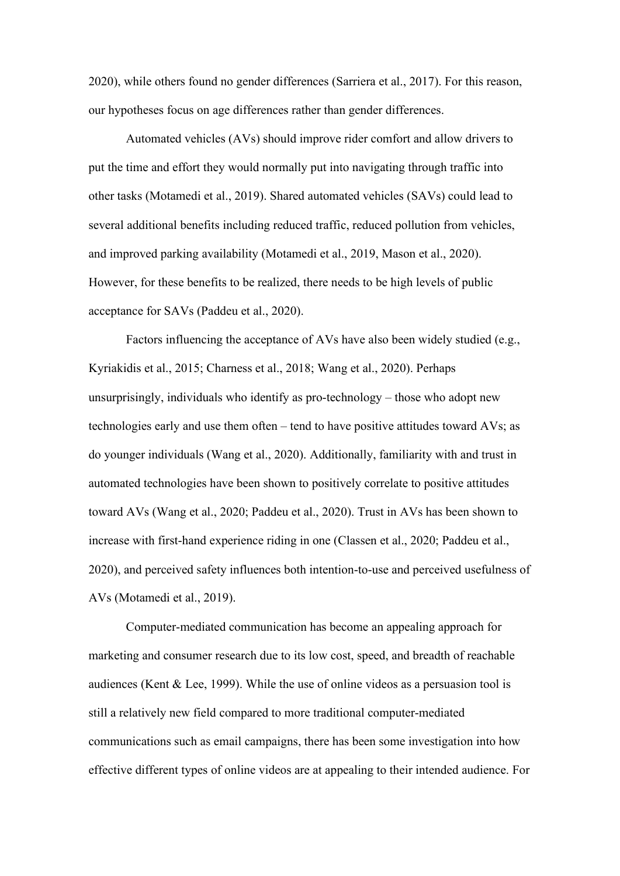2020), while others found no gender differences (Sarriera et al., 2017). For this reason, our hypotheses focus on age differences rather than gender differences.

Automated vehicles (AVs) should improve rider comfort and allow drivers to put the time and effort they would normally put into navigating through traffic into other tasks (Motamedi et al., 2019). Shared automated vehicles (SAVs) could lead to several additional benefits including reduced traffic, reduced pollution from vehicles, and improved parking availability (Motamedi et al., 2019, Mason et al., 2020). However, for these benefits to be realized, there needs to be high levels of public acceptance for SAVs (Paddeu et al., 2020).

Factors influencing the acceptance of AVs have also been widely studied (e.g., Kyriakidis et al., 2015; Charness et al., 2018; Wang et al., 2020). Perhaps unsurprisingly, individuals who identify as pro-technology – those who adopt new technologies early and use them often – tend to have positive attitudes toward AVs; as do younger individuals (Wang et al., 2020). Additionally, familiarity with and trust in automated technologies have been shown to positively correlate to positive attitudes toward AVs (Wang et al., 2020; Paddeu et al., 2020). Trust in AVs has been shown to increase with first-hand experience riding in one (Classen et al., 2020; Paddeu et al., 2020), and perceived safety influences both intention-to-use and perceived usefulness of AVs (Motamedi et al., 2019).

Computer-mediated communication has become an appealing approach for marketing and consumer research due to its low cost, speed, and breadth of reachable audiences (Kent & Lee, 1999). While the use of online videos as a persuasion tool is still a relatively new field compared to more traditional computer-mediated communications such as email campaigns, there has been some investigation into how effective different types of online videos are at appealing to their intended audience. For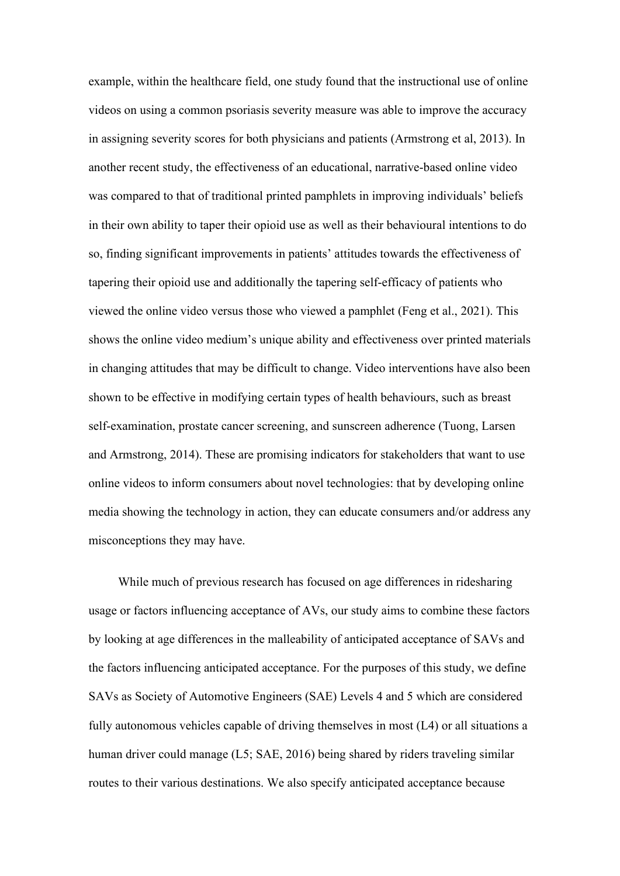example, within the healthcare field, one study found that the instructional use of online videos on using a common psoriasis severity measure was able to improve the accuracy in assigning severity scores for both physicians and patients (Armstrong et al, 2013). In another recent study, the effectiveness of an educational, narrative-based online video was compared to that of traditional printed pamphlets in improving individuals' beliefs in their own ability to taper their opioid use as well as their behavioural intentions to do so, finding significant improvements in patients' attitudes towards the effectiveness of tapering their opioid use and additionally the tapering self-efficacy of patients who viewed the online video versus those who viewed a pamphlet (Feng et al., 2021). This shows the online video medium's unique ability and effectiveness over printed materials in changing attitudes that may be difficult to change. Video interventions have also been shown to be effective in modifying certain types of health behaviours, such as breast self-examination, prostate cancer screening, and sunscreen adherence (Tuong, Larsen and Armstrong, 2014). These are promising indicators for stakeholders that want to use online videos to inform consumers about novel technologies: that by developing online media showing the technology in action, they can educate consumers and/or address any misconceptions they may have.

While much of previous research has focused on age differences in ridesharing usage or factors influencing acceptance of AVs, our study aims to combine these factors by looking at age differences in the malleability of anticipated acceptance of SAVs and the factors influencing anticipated acceptance. For the purposes of this study, we define SAVs as Society of Automotive Engineers (SAE) Levels 4 and 5 which are considered fully autonomous vehicles capable of driving themselves in most (L4) or all situations a human driver could manage (L5; SAE, 2016) being shared by riders traveling similar routes to their various destinations. We also specify anticipated acceptance because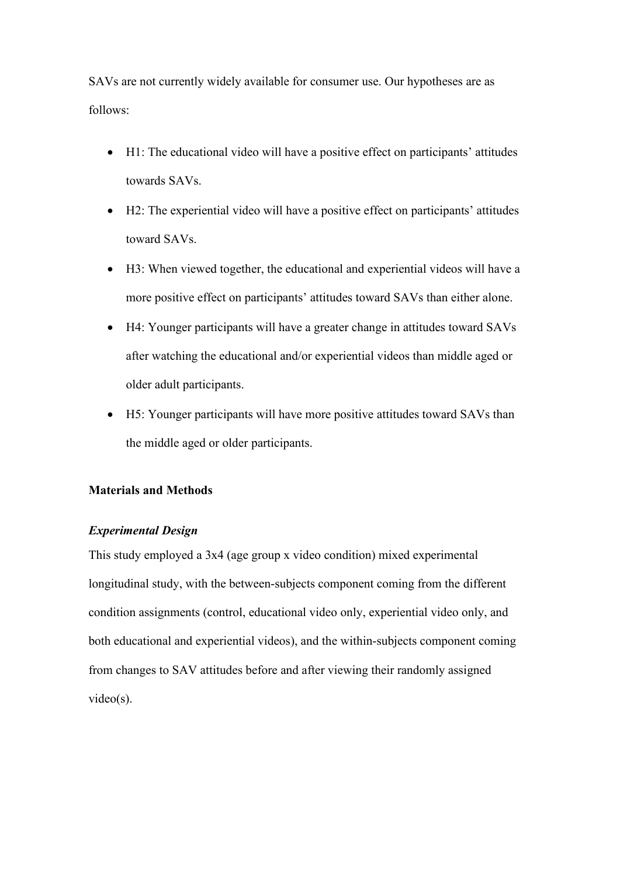SAVs are not currently widely available for consumer use. Our hypotheses are as follows:

- H1: The educational video will have a positive effect on participants' attitudes towards SAVs.
- H2: The experiential video will have a positive effect on participants' attitudes toward SAVs.
- H3: When viewed together, the educational and experiential videos will have a more positive effect on participants' attitudes toward SAVs than either alone.
- H4: Younger participants will have a greater change in attitudes toward SAVs after watching the educational and/or experiential videos than middle aged or older adult participants.
- H5: Younger participants will have more positive attitudes toward SAVs than the middle aged or older participants.

## **Materials and Methods**

# *Experimental Design*

This study employed a 3x4 (age group x video condition) mixed experimental longitudinal study, with the between-subjects component coming from the different condition assignments (control, educational video only, experiential video only, and both educational and experiential videos), and the within-subjects component coming from changes to SAV attitudes before and after viewing their randomly assigned video(s).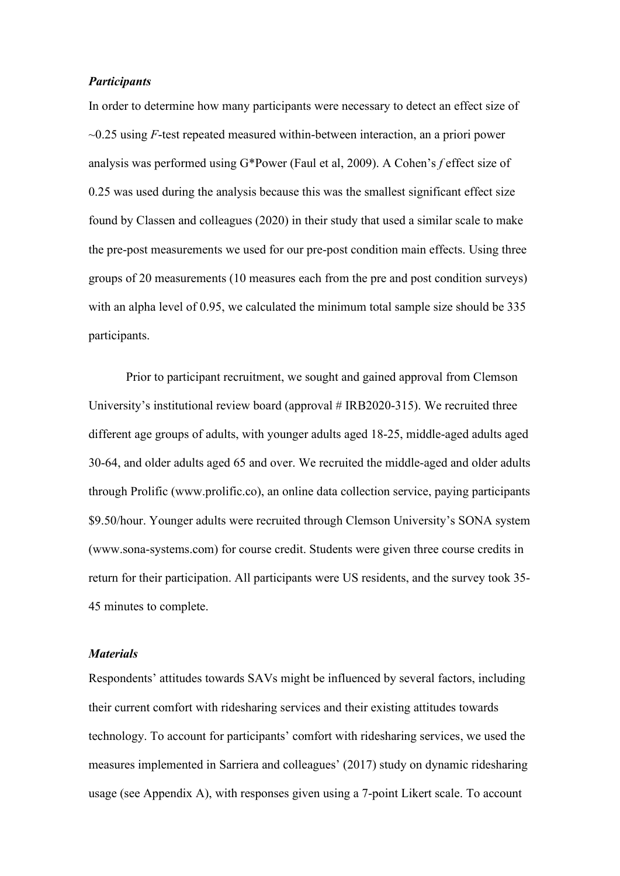#### *Participants*

In order to determine how many participants were necessary to detect an effect size of ~0.25 using *F*-test repeated measured within-between interaction, an a priori power analysis was performed using G\*Power (Faul et al, 2009). A Cohen's *f* effect size of 0.25 was used during the analysis because this was the smallest significant effect size found by Classen and colleagues (2020) in their study that used a similar scale to make the pre-post measurements we used for our pre-post condition main effects. Using three groups of 20 measurements (10 measures each from the pre and post condition surveys) with an alpha level of 0.95, we calculated the minimum total sample size should be 335 participants.

Prior to participant recruitment, we sought and gained approval from Clemson University's institutional review board (approval # IRB2020-315). We recruited three different age groups of adults, with younger adults aged 18-25, middle-aged adults aged 30-64, and older adults aged 65 and over. We recruited the middle-aged and older adults through Prolific (www.prolific.co), an online data collection service, paying participants \$9.50/hour. Younger adults were recruited through Clemson University's SONA system (www.sona-systems.com) for course credit. Students were given three course credits in return for their participation. All participants were US residents, and the survey took 35- 45 minutes to complete.

### *Materials*

Respondents' attitudes towards SAVs might be influenced by several factors, including their current comfort with ridesharing services and their existing attitudes towards technology. To account for participants' comfort with ridesharing services, we used the measures implemented in Sarriera and colleagues' (2017) study on dynamic ridesharing usage (see Appendix A), with responses given using a 7-point Likert scale. To account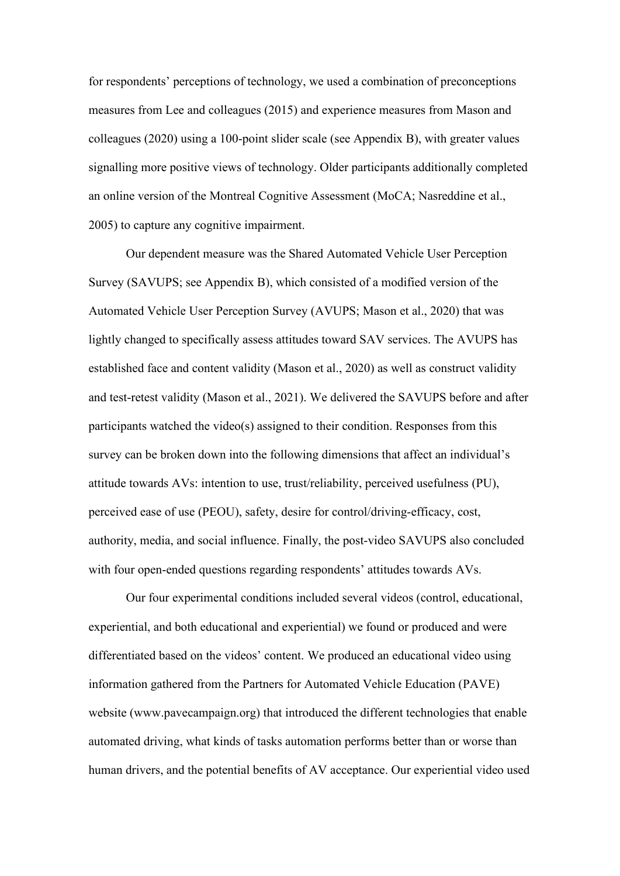for respondents' perceptions of technology, we used a combination of preconceptions measures from Lee and colleagues (2015) and experience measures from Mason and colleagues (2020) using a 100-point slider scale (see Appendix B), with greater values signalling more positive views of technology. Older participants additionally completed an online version of the Montreal Cognitive Assessment (MoCA; Nasreddine et al., 2005) to capture any cognitive impairment.

Our dependent measure was the Shared Automated Vehicle User Perception Survey (SAVUPS; see Appendix B), which consisted of a modified version of the Automated Vehicle User Perception Survey (AVUPS; Mason et al., 2020) that was lightly changed to specifically assess attitudes toward SAV services. The AVUPS has established face and content validity (Mason et al., 2020) as well as construct validity and test-retest validity (Mason et al., 2021). We delivered the SAVUPS before and after participants watched the video(s) assigned to their condition. Responses from this survey can be broken down into the following dimensions that affect an individual's attitude towards AVs: intention to use, trust/reliability, perceived usefulness (PU), perceived ease of use (PEOU), safety, desire for control/driving-efficacy, cost, authority, media, and social influence. Finally, the post-video SAVUPS also concluded with four open-ended questions regarding respondents' attitudes towards AVs.

Our four experimental conditions included several videos (control, educational, experiential, and both educational and experiential) we found or produced and were differentiated based on the videos' content. We produced an educational video using information gathered from the Partners for Automated Vehicle Education (PAVE) website (www.pavecampaign.org) that introduced the different technologies that enable automated driving, what kinds of tasks automation performs better than or worse than human drivers, and the potential benefits of AV acceptance. Our experiential video used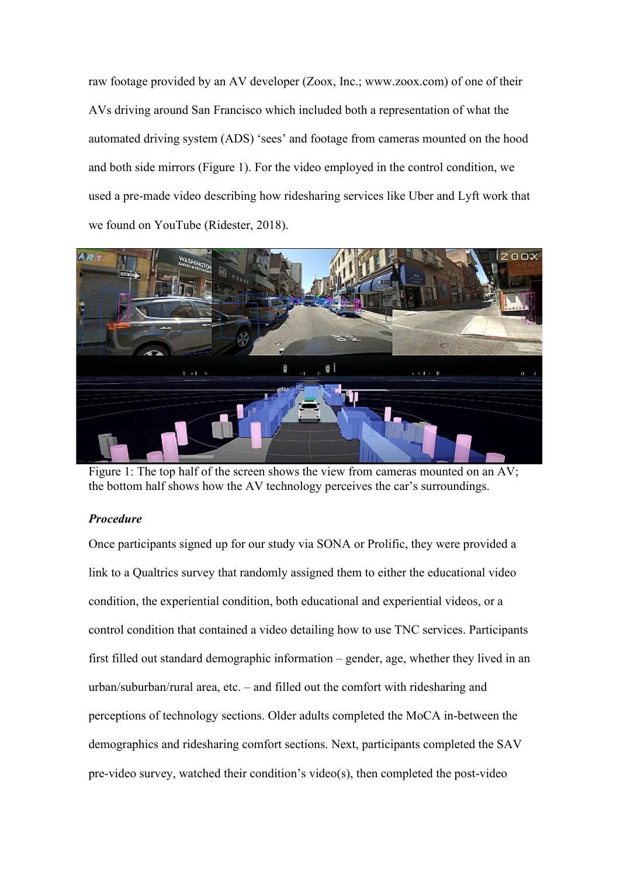raw footage provided by an AV developer (Zoox, Inc.; www.zoox.com) of one of their AVs driving around San Francisco which included both a representation of what the automated driving system (ADS) 'sees' and footage from cameras mounted on the hood and both side mirrors (Figure 1). For the video employed in the control condition, we used a pre-made video describing how ridesharing services like Uber and Lyft work that we found on YouTube (Ridester, 2018).



Figure 1: The top half of the screen shows the view from cameras mounted on an AV; the bottom half shows how the AV technology perceives the car's surroundings.

# *Procedure*

Once participants signed up for our study via SONA or Prolific, they were provided a link to a Qualtrics survey that randomly assigned them to either the educational video condition, the experiential condition, both educational and experiential videos, or a control condition that contained a video detailing how to use TNC services. Participants first filled out standard demographic information – gender, age, whether they lived in an urban/suburban/rural area, etc. – and filled out the comfort with ridesharing and perceptions of technology sections. Older adults completed the MoCA in-between the demographics and ridesharing comfort sections. Next, participants completed the SAV pre-video survey, watched their condition's video(s), then completed the post-video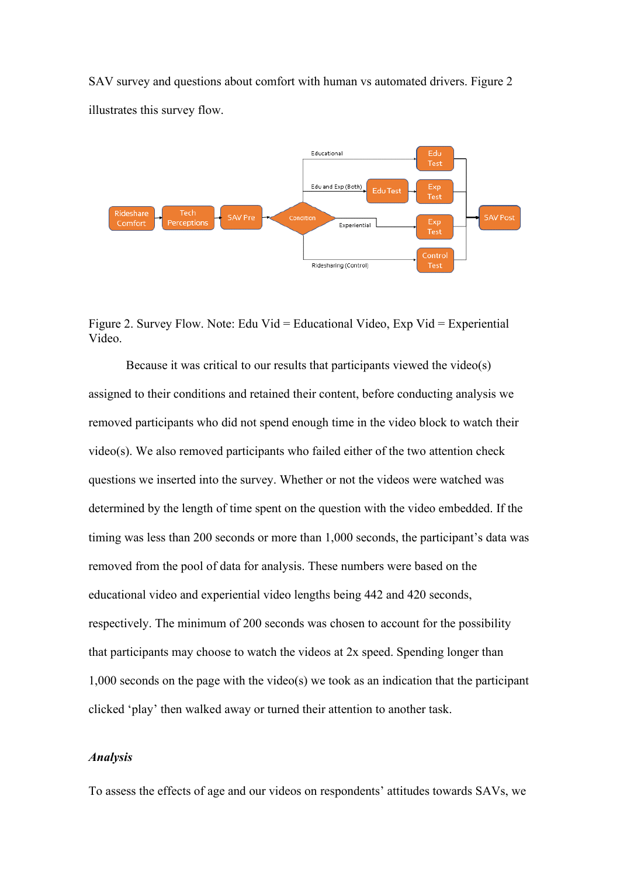SAV survey and questions about comfort with human vs automated drivers. Figure 2 illustrates this survey flow.



Figure 2. Survey Flow. Note: Edu Vid = Educational Video, Exp Vid = Experiential Video.

Because it was critical to our results that participants viewed the video(s) assigned to their conditions and retained their content, before conducting analysis we removed participants who did not spend enough time in the video block to watch their video(s). We also removed participants who failed either of the two attention check questions we inserted into the survey. Whether or not the videos were watched was determined by the length of time spent on the question with the video embedded. If the timing was less than 200 seconds or more than 1,000 seconds, the participant's data was removed from the pool of data for analysis. These numbers were based on the educational video and experiential video lengths being 442 and 420 seconds, respectively. The minimum of 200 seconds was chosen to account for the possibility that participants may choose to watch the videos at 2x speed. Spending longer than 1,000 seconds on the page with the video(s) we took as an indication that the participant clicked 'play' then walked away or turned their attention to another task.

#### *Analysis*

To assess the effects of age and our videos on respondents' attitudes towards SAVs, we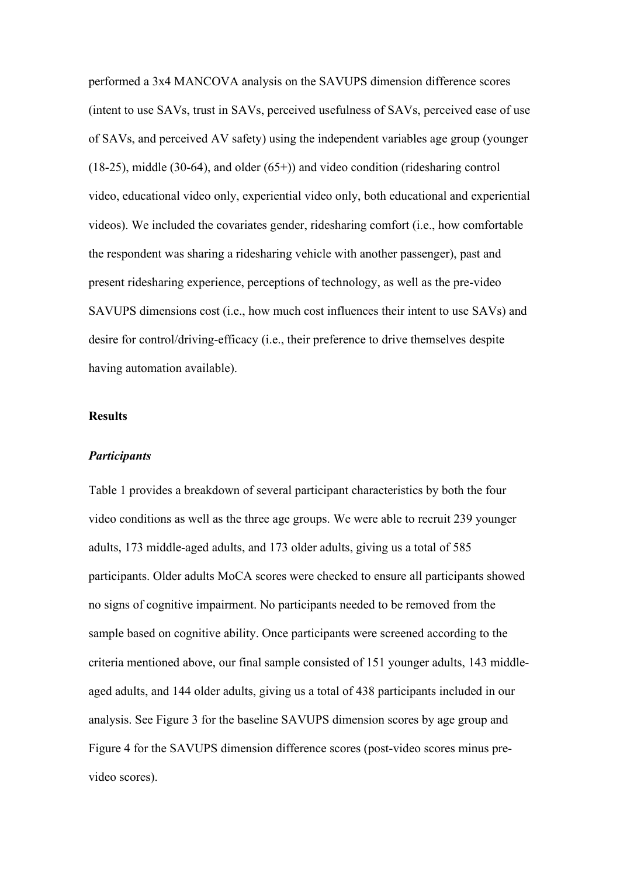performed a 3x4 MANCOVA analysis on the SAVUPS dimension difference scores (intent to use SAVs, trust in SAVs, perceived usefulness of SAVs, perceived ease of use of SAVs, and perceived AV safety) using the independent variables age group (younger  $(18-25)$ , middle  $(30-64)$ , and older  $(65+)$ ) and video condition (ridesharing control video, educational video only, experiential video only, both educational and experiential videos). We included the covariates gender, ridesharing comfort (i.e., how comfortable the respondent was sharing a ridesharing vehicle with another passenger), past and present ridesharing experience, perceptions of technology, as well as the pre-video SAVUPS dimensions cost (i.e., how much cost influences their intent to use SAVs) and desire for control/driving-efficacy (i.e., their preference to drive themselves despite having automation available).

### **Results**

#### *Participants*

Table 1 provides a breakdown of several participant characteristics by both the four video conditions as well as the three age groups. We were able to recruit 239 younger adults, 173 middle-aged adults, and 173 older adults, giving us a total of 585 participants. Older adults MoCA scores were checked to ensure all participants showed no signs of cognitive impairment. No participants needed to be removed from the sample based on cognitive ability. Once participants were screened according to the criteria mentioned above, our final sample consisted of 151 younger adults, 143 middleaged adults, and 144 older adults, giving us a total of 438 participants included in our analysis. See Figure 3 for the baseline SAVUPS dimension scores by age group and Figure 4 for the SAVUPS dimension difference scores (post-video scores minus prevideo scores).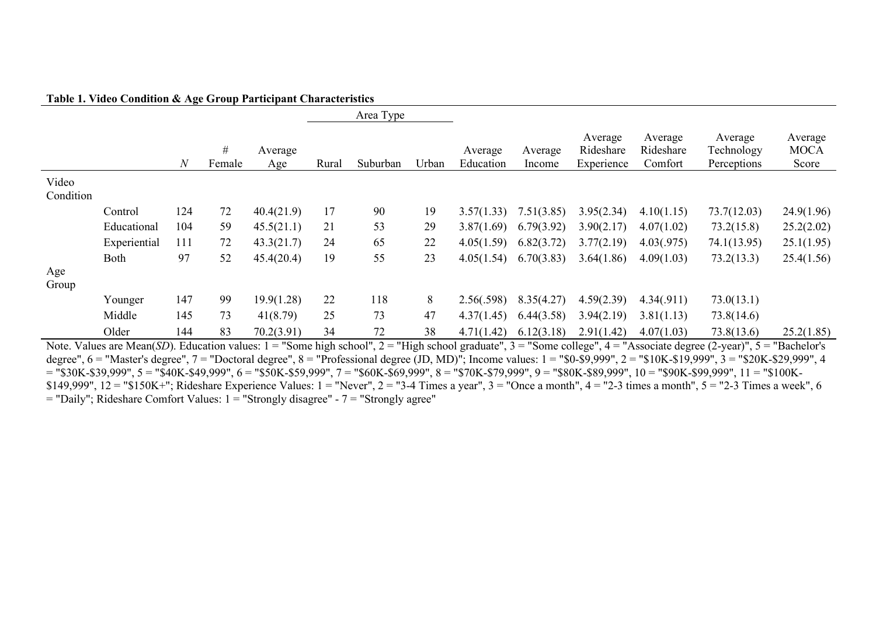#### **Table 1. Video Condition & Age Group Participant Characteristics**

|                    |              |              |             |                |       | Area Type |       |                      |                   |                                    |                                 |                                      |                                 |
|--------------------|--------------|--------------|-------------|----------------|-------|-----------|-------|----------------------|-------------------|------------------------------------|---------------------------------|--------------------------------------|---------------------------------|
|                    |              | $\mathcal N$ | #<br>Female | Average<br>Age | Rural | Suburban  | Urban | Average<br>Education | Average<br>Income | Average<br>Rideshare<br>Experience | Average<br>Rideshare<br>Comfort | Average<br>Technology<br>Perceptions | Average<br><b>MOCA</b><br>Score |
| Video<br>Condition |              |              |             |                |       |           |       |                      |                   |                                    |                                 |                                      |                                 |
|                    | Control      | 124          | 72          | 40.4(21.9)     | 17    | 90        | 19    | 3.57(1.33)           | 7.51(3.85)        | 3.95(2.34)                         | 4.10(1.15)                      | 73.7(12.03)                          | 24.9(1.96)                      |
|                    | Educational  | 104          | 59          | 45.5(21.1)     | 21    | 53        | 29    | 3.87(1.69)           | 6.79(3.92)        | 3.90(2.17)                         | 4.07(1.02)                      | 73.2(15.8)                           | 25.2(2.02)                      |
|                    | Experiential | 111          | 72          | 43.3(21.7)     | 24    | 65        | 22    | 4.05(1.59)           | 6.82(3.72)        | 3.77(2.19)                         | 4.03(.975)                      | 74.1(13.95)                          | 25.1(1.95)                      |
| Age                | Both         | 97           | 52          | 45.4(20.4)     | 19    | 55        | 23    | 4.05(1.54)           | 6.70(3.83)        | 3.64(1.86)                         | 4.09(1.03)                      | 73.2(13.3)                           | 25.4(1.56)                      |
| Group              |              |              |             |                |       |           |       |                      |                   |                                    |                                 |                                      |                                 |
|                    | Younger      | 147          | 99          | 19.9(1.28)     | 22    | 118       | 8     | 2.56(.598)           | 8.35(4.27)        | 4.59(2.39)                         | 4.34(.911)                      | 73.0(13.1)                           |                                 |
|                    | Middle       | 145          | 73          | 41(8.79)       | 25    | 73        | 47    | 4.37(1.45)           | 6.44(3.58)        | 3.94(2.19)                         | 3.81(1.13)                      | 73.8(14.6)                           |                                 |
|                    | Older        | 144          | 83          | 70.2(3.91)     | 34    | 72        | 38    | 4.71(1.42)           | 6.12(3.18)        | 2.91(1.42)                         | 4.07(1.03)                      | 73.8(13.6)                           | 25.2(1.85)                      |

Note. Values are Mean(*SD*). Education values: 1 = "Some high school", 2 = "High school graduate", 3 = "Some college", 4 = "Associate degree (2-year)", 5 = "Bachelor's degree",  $6 =$  "Master's degree",  $7 =$  "Doctoral degree",  $8 =$  "Professional degree (JD, MD)"; Income values:  $1 =$  "\$0-\$9,999",  $2 =$  "\$10K-\$19,999",  $3 =$  "\$20K-\$29,999", 4  $=$  "\$30K-\$39,999", 5 = "\$40K-\$49,999", 6 = "\$50K-\$59,999", 7 = "\$60K-\$69,999", 8 = "\$70K-\$79,999", 9 = "\$80K-\$89,999", 10 = "\$90K-\$99,999", 11 = "\$100K-\$149,999",  $12 = "$150K+"$ ; Rideshare Experience Values:  $1 = "Never", 2 = "3-4 Times$  a year",  $3 = "Once a month", 4 = "2-3 times a month", 5 = "2-3 Times a week", 6 = "3-4 times$  $=$  "Daily"; Rideshare Comfort Values:  $1 =$  "Strongly disagree" -  $7 =$  "Strongly agree"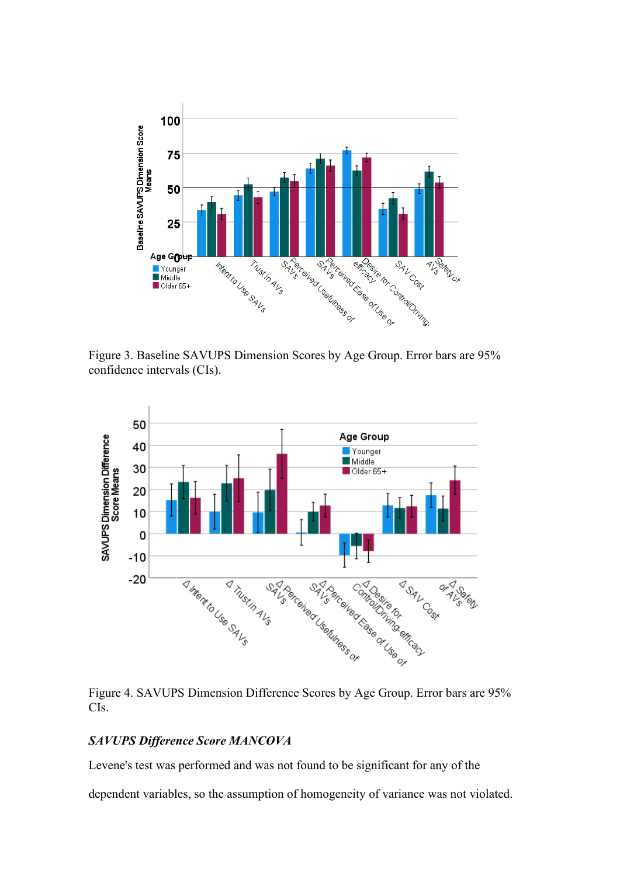

Figure 3. Baseline SAVUPS Dimension Scores by Age Group. Error bars are 95% confidence intervals (CIs).



Figure 4. SAVUPS Dimension Difference Scores by Age Group. Error bars are 95% CIs.

## *SAVUPS Difference Score MANCOVA*

Levene's test was performed and was not found to be significant for any of the

dependent variables, so the assumption of homogeneity of variance was not violated.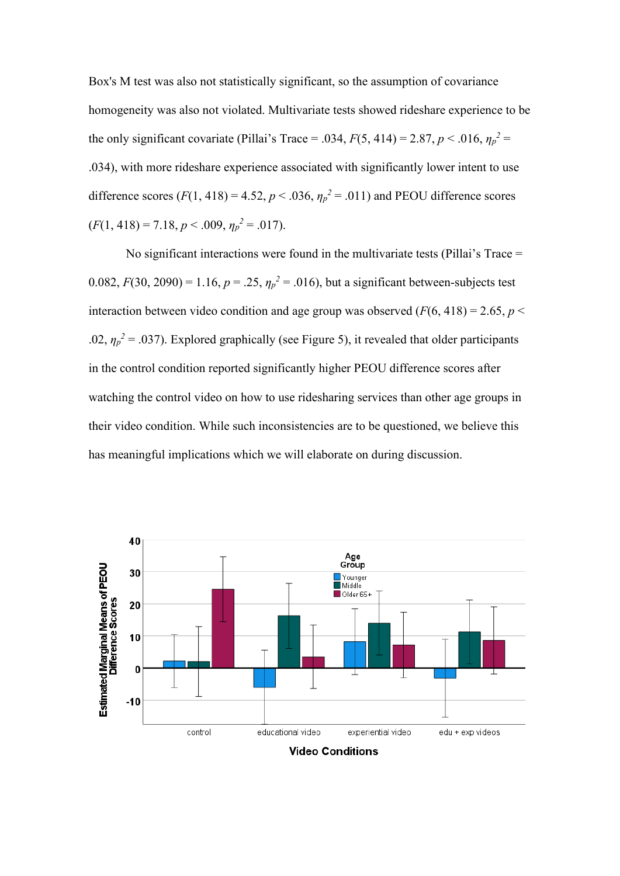Box's M test was also not statistically significant, so the assumption of covariance homogeneity was also not violated. Multivariate tests showed rideshare experience to be the only significant covariate (Pillai's Trace = .034,  $F(5, 414) = 2.87$ ,  $p < .016$ ,  $\eta_p^2 =$ .034), with more rideshare experience associated with significantly lower intent to use difference scores  $(F(1, 418) = 4.52, p < .036, \eta_p^2 = .011)$  and PEOU difference scores  $(F(1, 418) = 7.18, p < .009, \eta_p^2 = .017).$ 

No significant interactions were found in the multivariate tests (Pillai's Trace = 0.082,  $F(30, 2090) = 1.16$ ,  $p = .25$ ,  $\eta_p^2 = .016$ ), but a significant between-subjects test interaction between video condition and age group was observed  $(F(6, 418) = 2.65, p <$ .02,  $\eta_p^2$  = .037). Explored graphically (see Figure 5), it revealed that older participants in the control condition reported significantly higher PEOU difference scores after watching the control video on how to use ridesharing services than other age groups in their video condition. While such inconsistencies are to be questioned, we believe this has meaningful implications which we will elaborate on during discussion.



**Video Conditions**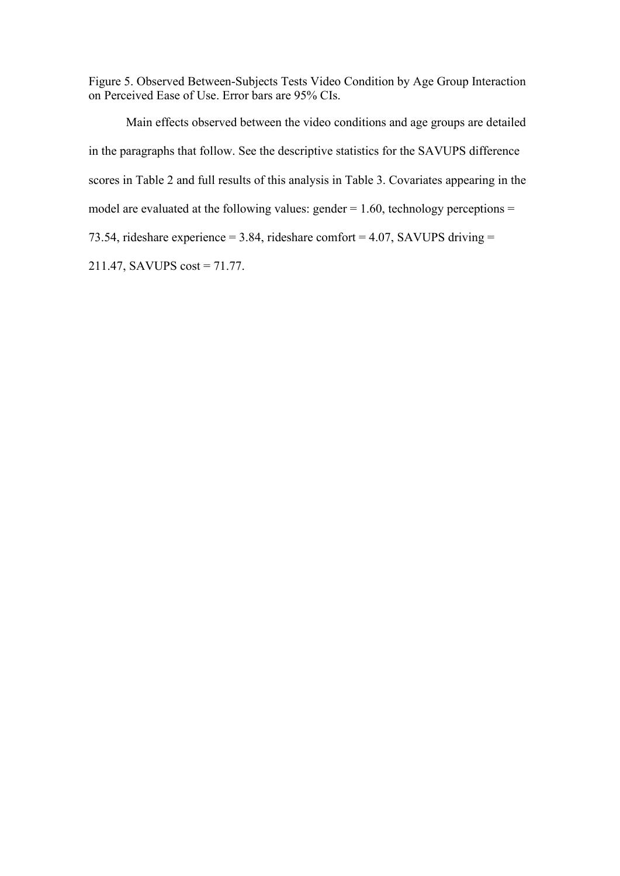Figure 5. Observed Between-Subjects Tests Video Condition by Age Group Interaction on Perceived Ease of Use. Error bars are 95% CIs.

Main effects observed between the video conditions and age groups are detailed in the paragraphs that follow. See the descriptive statistics for the SAVUPS difference scores in Table 2 and full results of this analysis in Table 3. Covariates appearing in the model are evaluated at the following values:  $gender = 1.60$ , technology perceptions = 73.54, rideshare experience = 3.84, rideshare comfort = 4.07, SAVUPS driving = 211.47, SAVUPS cost = 71.77.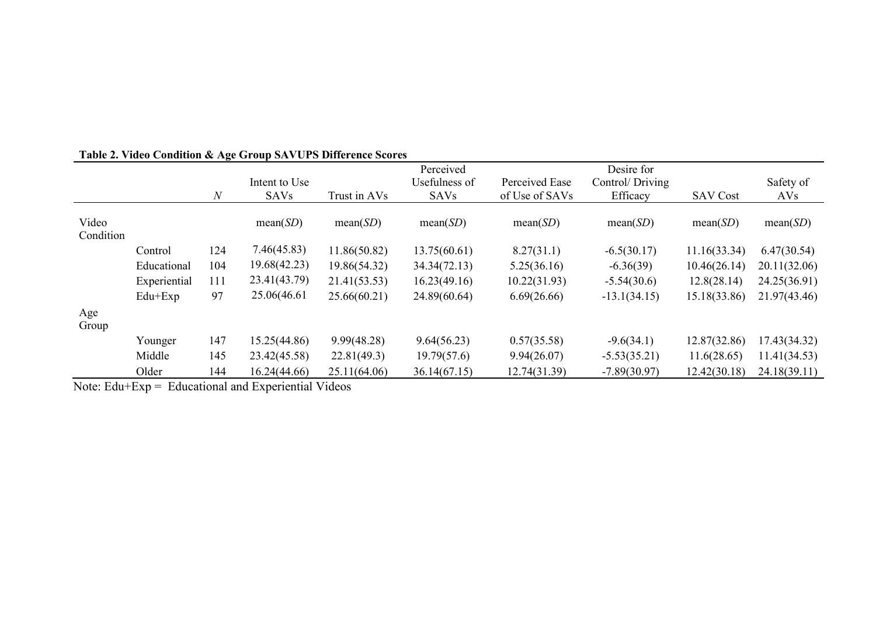|                    |              |              |               |              | Perceived     |                | Desire for      |                 |              |
|--------------------|--------------|--------------|---------------|--------------|---------------|----------------|-----------------|-----------------|--------------|
|                    |              |              | Intent to Use |              | Usefulness of | Perceived Ease | Control/Driving |                 | Safety of    |
|                    |              | $\mathcal N$ | <b>SAVs</b>   | Trust in AVs | <b>SAVs</b>   | of Use of SAVs | Efficacy        | <b>SAV Cost</b> | AVs          |
| Video<br>Condition |              |              | mean(SD)      | mean(SD)     | mean(SD)      | mean(SD)       | mean(SD)        | mean(SD)        | mean(SD)     |
|                    | Control      | 124          | 7.46(45.83)   | 11.86(50.82) | 13.75(60.61)  | 8.27(31.1)     | $-6.5(30.17)$   | 11.16(33.34)    | 6.47(30.54)  |
|                    | Educational  | 104          | 19.68(42.23)  | 19.86(54.32) | 34.34(72.13)  | 5.25(36.16)    | $-6.36(39)$     | 10.46(26.14)    | 20.11(32.06) |
|                    | Experiential | 111          | 23.41(43.79)  | 21.41(53.53) | 16.23(49.16)  | 10.22(31.93)   | $-5.54(30.6)$   | 12.8(28.14)     | 24.25(36.91) |
|                    | $Edu + Exp$  | 97           | 25.06(46.61)  | 25.66(60.21) | 24.89(60.64)  | 6.69(26.66)    | $-13.1(34.15)$  | 15.18(33.86)    | 21.97(43.46) |
| Age<br>Group       |              |              |               |              |               |                |                 |                 |              |
|                    | Younger      | 147          | 15.25(44.86)  | 9.99(48.28)  | 9.64(56.23)   | 0.57(35.58)    | $-9.6(34.1)$    | 12.87(32.86)    | 17.43(34.32) |
|                    | Middle       | 145          | 23.42(45.58)  | 22.81(49.3)  | 19.79(57.6)   | 9.94(26.07)    | $-5.53(35.21)$  | 11.6(28.65)     | 11.41(34.53) |
|                    | Older        | 144          | 16.24(44.66)  | 25.11(64.06) | 36.14(67.15)  | 12.74(31.39)   | $-7.89(30.97)$  | 12.42(30.18)    | 24.18(39.11) |

# **Table 2. Video Condition & Age Group SAVUPS Difference Scores**

Note: Edu+Exp = Educational and Experiential Videos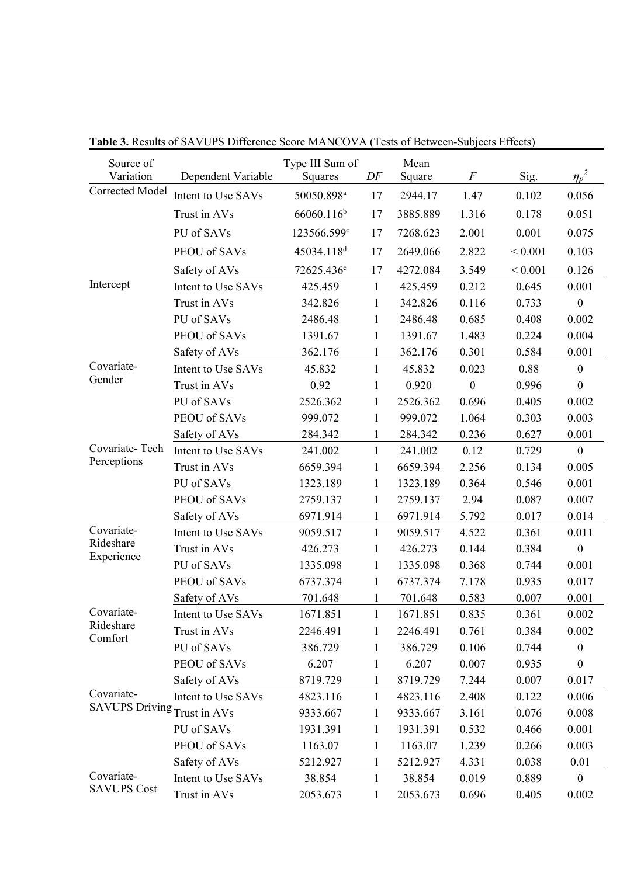| Source of<br>Variation | Dependent Variable | Type III Sum of<br>Squares | DF           | Mean<br>Square | $\boldsymbol{F}$ | Sig.        | $\eta_p^2$       |
|------------------------|--------------------|----------------------------|--------------|----------------|------------------|-------------|------------------|
| Corrected Model        | Intent to Use SAVs | 50050.898 <sup>a</sup>     | 17           | 2944.17        | 1.47             | 0.102       | 0.056            |
|                        | Trust in AVs       | 66060.116 <sup>b</sup>     | 17           | 3885.889       | 1.316            | 0.178       | 0.051            |
|                        | PU of SAVs         | 123566.599c                | 17           | 7268.623       | 2.001            | 0.001       | 0.075            |
|                        | PEOU of SAVs       | 45034.118 <sup>d</sup>     | 17           | 2649.066       | 2.822            | ${}< 0.001$ | 0.103            |
|                        | Safety of AVs      | 72625.436 <sup>e</sup>     | 17           | 4272.084       | 3.549            | < 0.001     | 0.126            |
| Intercept              | Intent to Use SAVs | 425.459                    | $\mathbf{1}$ | 425.459        | 0.212            | 0.645       | 0.001            |
|                        | Trust in AVs       | 342.826                    | $\mathbf{1}$ | 342.826        | 0.116            | 0.733       | $\boldsymbol{0}$ |
|                        | PU of SAVs         | 2486.48                    | $\mathbf{1}$ | 2486.48        | 0.685            | 0.408       | 0.002            |
|                        | PEOU of SAVs       | 1391.67                    | $\mathbf{1}$ | 1391.67        | 1.483            | 0.224       | 0.004            |
|                        | Safety of AVs      | 362.176                    | 1            | 362.176        | 0.301            | 0.584       | 0.001            |
| Covariate-             | Intent to Use SAVs | 45.832                     | $\mathbf{1}$ | 45.832         | 0.023            | 0.88        | $\mathbf{0}$     |
| Gender                 | Trust in AVs       | 0.92                       | 1            | 0.920          | $\mathbf{0}$     | 0.996       | $\boldsymbol{0}$ |
|                        | PU of SAVs         | 2526.362                   | 1            | 2526.362       | 0.696            | 0.405       | 0.002            |
|                        | PEOU of SAVs       | 999.072                    | $\mathbf{1}$ | 999.072        | 1.064            | 0.303       | 0.003            |
|                        | Safety of AVs      | 284.342                    | $\mathbf{1}$ | 284.342        | 0.236            | 0.627       | 0.001            |
| Covariate-Tech         | Intent to Use SAVs | 241.002                    | $\mathbf{1}$ | 241.002        | 0.12             | 0.729       | $\boldsymbol{0}$ |
| Perceptions            | Trust in AVs       | 6659.394                   | $\mathbf{1}$ | 6659.394       | 2.256            | 0.134       | 0.005            |
|                        | PU of SAVs         | 1323.189                   | $\mathbf{1}$ | 1323.189       | 0.364            | 0.546       | 0.001            |
|                        | PEOU of SAVs       | 2759.137                   | 1            | 2759.137       | 2.94             | 0.087       | 0.007            |
|                        | Safety of AVs      | 6971.914                   | 1            | 6971.914       | 5.792            | 0.017       | 0.014            |
| Covariate-             | Intent to Use SAVs | 9059.517                   | $\mathbf{1}$ | 9059.517       | 4.522            | 0.361       | 0.011            |
| Rideshare              | Trust in AVs       | 426.273                    | $\mathbf{1}$ | 426.273        | 0.144            | 0.384       | $\boldsymbol{0}$ |
| Experience             | PU of SAVs         | 1335.098                   | $\mathbf{1}$ | 1335.098       | 0.368            | 0.744       | 0.001            |
|                        | PEOU of SAVs       | 6737.374                   | $\mathbf{1}$ | 6737.374       | 7.178            | 0.935       | 0.017            |
|                        | Safety of AVs      | 701.648                    | 1            | 701.648        | 0.583            | 0.007       | 0.001            |
| Covariate-             | Intent to Use SAVs | 1671.851                   | $\mathbf{1}$ | 1671.851       | 0.835            | 0.361       | 0.002            |
| Rideshare              | Trust in AVs       | 2246.491                   | 1            | 2246.491       | 0.761            | 0.384       | 0.002            |
| Comfort                | PU of SAVs         | 386.729                    | 1            | 386.729        | 0.106            | 0.744       | $\boldsymbol{0}$ |
|                        | PEOU of SAVs       | 6.207                      | $\mathbf{1}$ | 6.207          | 0.007            | 0.935       | $\boldsymbol{0}$ |
|                        | Safety of AVs      | 8719.729                   | 1            | 8719.729       | 7.244            | 0.007       | 0.017            |
| Covariate-             | Intent to Use SAVs | 4823.116                   | 1            | 4823.116       | 2.408            | 0.122       | 0.006            |
| <b>SAVUPS Driving</b>  | Trust in AVs       | 9333.667                   | $\mathbf{1}$ | 9333.667       | 3.161            | 0.076       | 0.008            |
|                        | PU of SAVs         | 1931.391                   | 1            | 1931.391       | 0.532            | 0.466       | 0.001            |
|                        | PEOU of SAVs       | 1163.07                    | $\mathbf{1}$ | 1163.07        | 1.239            | 0.266       | 0.003            |
|                        | Safety of AVs      | 5212.927                   | 1            | 5212.927       | 4.331            | 0.038       | 0.01             |
| Covariate-             | Intent to Use SAVs | 38.854                     | $\mathbf{1}$ | 38.854         | 0.019            | 0.889       | $\mathbf{0}$     |
| <b>SAVUPS Cost</b>     | Trust in AVs       | 2053.673                   | 1            | 2053.673       | 0.696            | 0.405       | 0.002            |

**Table 3.** Results of SAVUPS Difference Score MANCOVA (Tests of Between-Subjects Effects)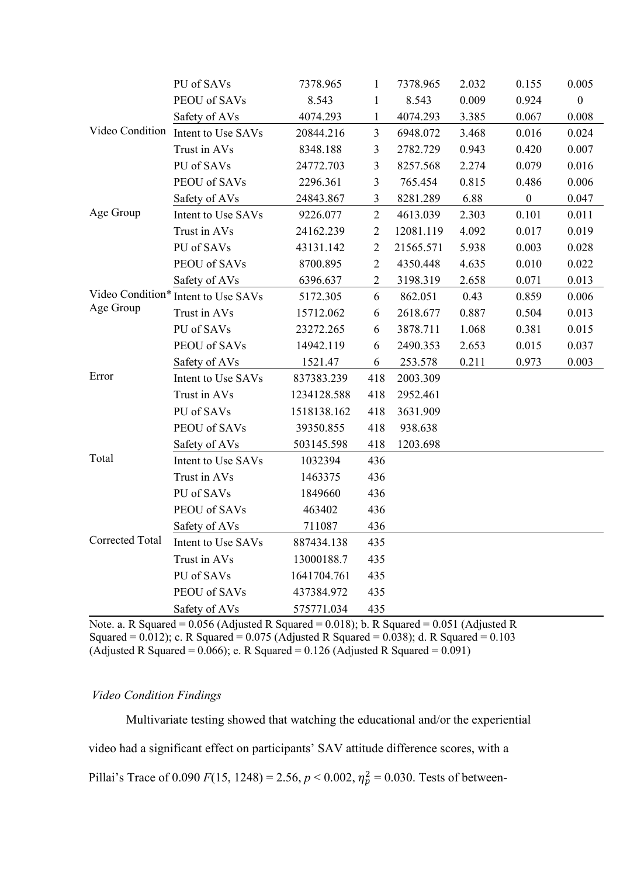|                        | PU of SAVs                          | 7378.965    | 1              | 7378.965  | 2.032 | 0.155            | 0.005            |
|------------------------|-------------------------------------|-------------|----------------|-----------|-------|------------------|------------------|
|                        | PEOU of SAVs                        | 8.543       | $\mathbf{1}$   | 8.543     | 0.009 | 0.924            | $\boldsymbol{0}$ |
|                        | Safety of AVs                       | 4074.293    | $\mathbf{1}$   | 4074.293  | 3.385 | 0.067            | 0.008            |
|                        | Video Condition Intent to Use SAVs  | 20844.216   | $\overline{3}$ | 6948.072  | 3.468 | 0.016            | 0.024            |
|                        | Trust in AVs                        | 8348.188    | 3              | 2782.729  | 0.943 | 0.420            | 0.007            |
|                        | PU of SAVs                          | 24772.703   | 3              | 8257.568  | 2.274 | 0.079            | 0.016            |
|                        | PEOU of SAVs                        | 2296.361    | $\overline{3}$ | 765.454   | 0.815 | 0.486            | 0.006            |
|                        | Safety of AVs                       | 24843.867   | 3              | 8281.289  | 6.88  | $\boldsymbol{0}$ | 0.047            |
| Age Group              | Intent to Use SAVs                  | 9226.077    | $\overline{2}$ | 4613.039  | 2.303 | 0.101            | 0.011            |
|                        | Trust in AVs                        | 24162.239   | $\overline{2}$ | 12081.119 | 4.092 | 0.017            | 0.019            |
|                        | PU of SAVs                          | 43131.142   | $\overline{2}$ | 21565.571 | 5.938 | 0.003            | 0.028            |
|                        | PEOU of SAVs                        | 8700.895    | $\overline{2}$ | 4350.448  | 4.635 | 0.010            | 0.022            |
|                        | Safety of AVs                       | 6396.637    | $\overline{2}$ | 3198.319  | 2.658 | 0.071            | 0.013            |
|                        | Video Condition* Intent to Use SAVs | 5172.305    | 6              | 862.051   | 0.43  | 0.859            | 0.006            |
| Age Group              | Trust in AVs                        | 15712.062   | 6              | 2618.677  | 0.887 | 0.504            | 0.013            |
|                        | PU of SAVs                          | 23272.265   | 6              | 3878.711  | 1.068 | 0.381            | 0.015            |
|                        | PEOU of SAVs                        | 14942.119   | 6              | 2490.353  | 2.653 | 0.015            | 0.037            |
|                        | Safety of AVs                       | 1521.47     | 6              | 253.578   | 0.211 | 0.973            | 0.003            |
| Error                  | Intent to Use SAVs                  | 837383.239  | 418            | 2003.309  |       |                  |                  |
|                        | Trust in AVs                        | 1234128.588 | 418            | 2952.461  |       |                  |                  |
|                        | PU of SAVs                          | 1518138.162 | 418            | 3631.909  |       |                  |                  |
|                        | PEOU of SAVs                        | 39350.855   | 418            | 938.638   |       |                  |                  |
|                        | Safety of AVs                       | 503145.598  | 418            | 1203.698  |       |                  |                  |
| Total                  | Intent to Use SAVs                  | 1032394     | 436            |           |       |                  |                  |
|                        | Trust in AVs                        | 1463375     | 436            |           |       |                  |                  |
|                        | PU of SAVs                          | 1849660     | 436            |           |       |                  |                  |
|                        | PEOU of SAVs                        | 463402      | 436            |           |       |                  |                  |
|                        | Safety of AVs                       | 711087      | 436            |           |       |                  |                  |
| <b>Corrected Total</b> | Intent to Use SAVs                  | 887434.138  | 435            |           |       |                  |                  |
|                        | Trust in AVs                        | 13000188.7  | 435            |           |       |                  |                  |
|                        | PU of SAVs                          | 1641704.761 | 435            |           |       |                  |                  |
|                        | PEOU of SAVs                        | 437384.972  | 435            |           |       |                  |                  |
|                        | Safety of AVs                       | 575771.034  | 435            |           |       |                  |                  |

Note. a. R Squared =  $0.056$  (Adjusted R Squared =  $0.018$ ); b. R Squared =  $0.051$  (Adjusted R Squared =  $0.012$ ); c. R Squared =  $0.075$  (Adjusted R Squared =  $0.038$ ); d. R Squared =  $0.103$ (Adjusted R Squared =  $0.066$ ); e. R Squared = 0.126 (Adjusted R Squared =  $0.091$ )

#### *Video Condition Findings*

Multivariate testing showed that watching the educational and/or the experiential video had a significant effect on participants' SAV attitude difference scores, with a Pillai's Trace of  $0.090 F(15, 1248) = 2.56, p < 0.002, \eta_p^2 = 0.030$ . Tests of between-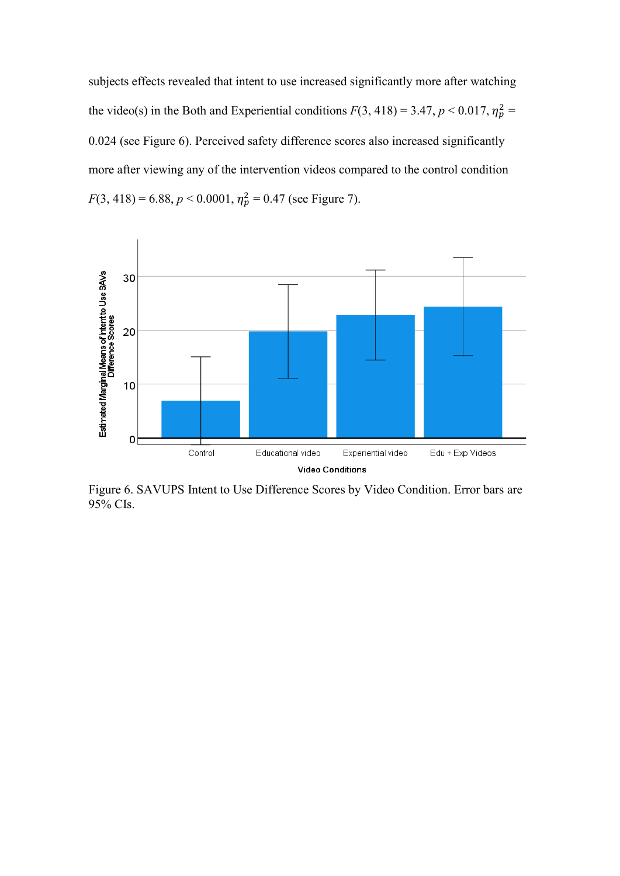subjects effects revealed that intent to use increased significantly more after watching the video(s) in the Both and Experiential conditions  $F(3, 418) = 3.47$ ,  $p < 0.017$ ,  $\eta_p^2 =$ 0.024 (see Figure 6). Perceived safety difference scores also increased significantly more after viewing any of the intervention videos compared to the control condition  $F(3, 418) = 6.88, p < 0.0001, \eta_p^2 = 0.47$  (see Figure 7).



Figure 6. SAVUPS Intent to Use Difference Scores by Video Condition. Error bars are 95% CIs.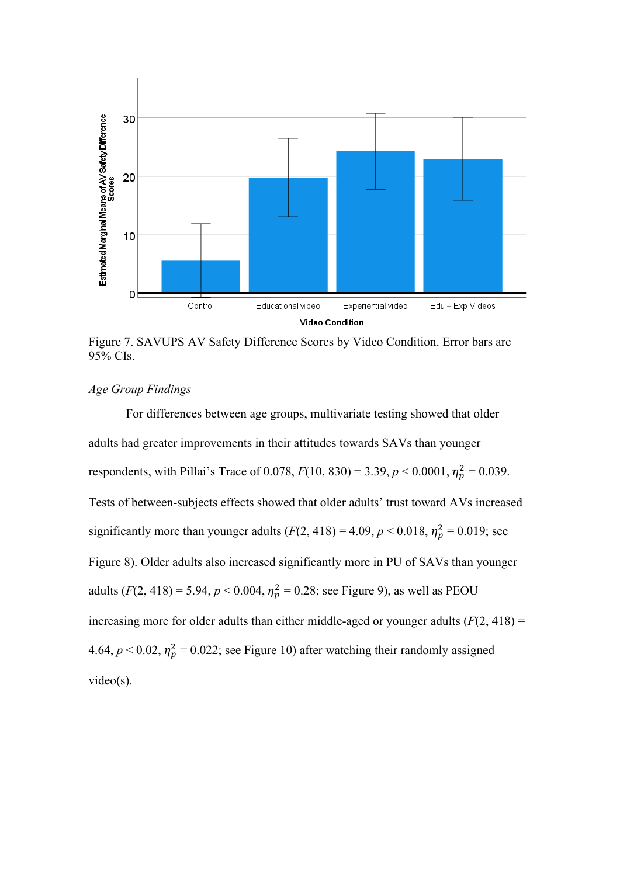

Figure 7. SAVUPS AV Safety Difference Scores by Video Condition. Error bars are 95% CIs.

# *Age Group Findings*

For differences between age groups, multivariate testing showed that older adults had greater improvements in their attitudes towards SAVs than younger respondents, with Pillai's Trace of 0.078,  $F(10, 830) = 3.39, p < 0.0001, \eta_p^2 = 0.039$ . Tests of between-subjects effects showed that older adults' trust toward AVs increased significantly more than younger adults  $(F(2, 418) = 4.09, p < 0.018, \eta_p^2 = 0.019$ ; see Figure 8). Older adults also increased significantly more in PU of SAVs than younger adults  $(F(2, 418) = 5.94, p < 0.004, \eta_p^2 = 0.28$ ; see Figure 9), as well as PEOU increasing more for older adults than either middle-aged or younger adults  $(F(2, 418) =$ 4.64,  $p < 0.02$ ,  $\eta_p^2 = 0.022$ ; see Figure 10) after watching their randomly assigned video(s).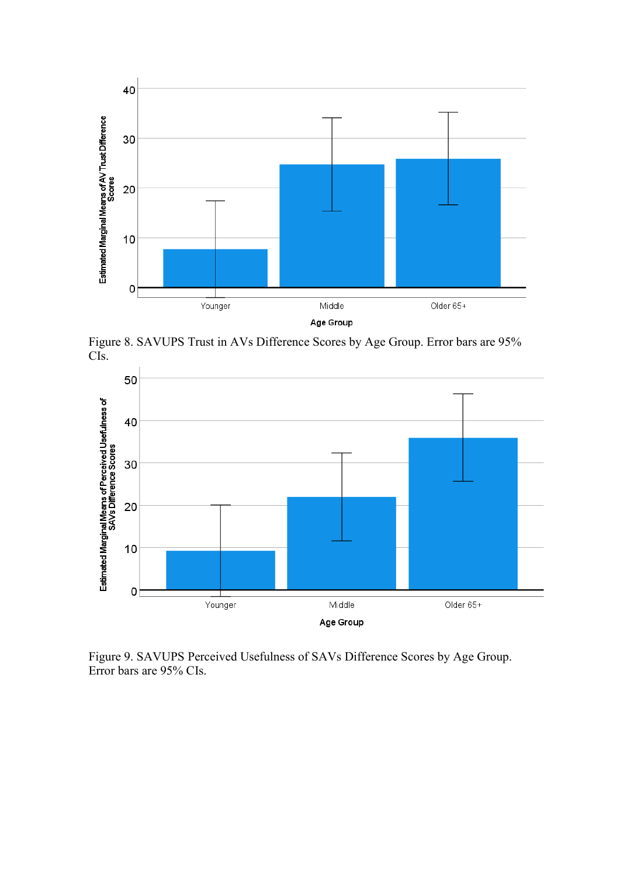

Figure 8. SAVUPS Trust in AVs Difference Scores by Age Group. Error bars are 95% CIs.



Figure 9. SAVUPS Perceived Usefulness of SAVs Difference Scores by Age Group. Error bars are 95% CIs.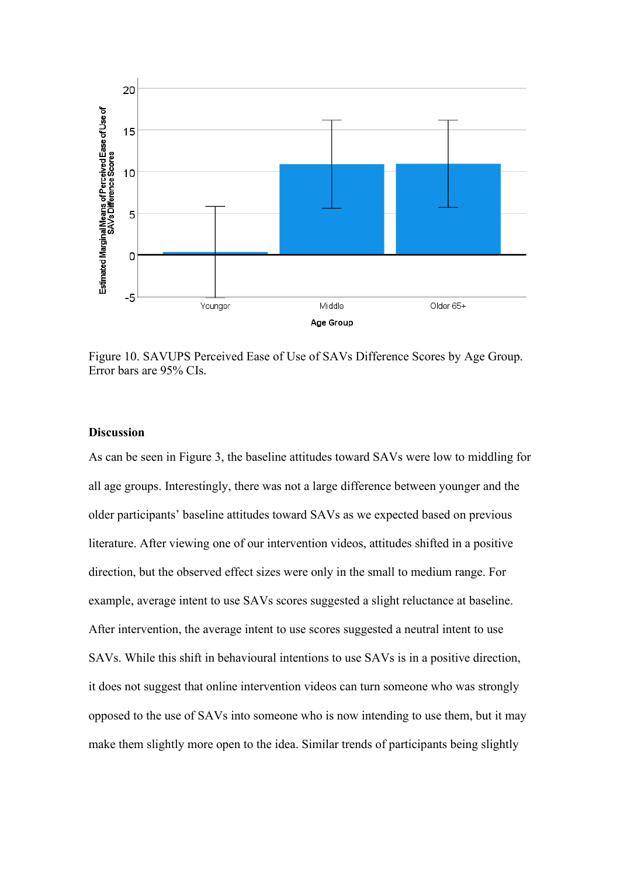

Figure 10. SAVUPS Perceived Ease of Use of SAVs Difference Scores by Age Group. Error bars are 95% CIs.

### **Discussion**

As can be seen in Figure 3, the baseline attitudes toward SAVs were low to middling for all age groups. Interestingly, there was not a large difference between younger and the older participants' baseline attitudes toward SAVs as we expected based on previous literature. After viewing one of our intervention videos, attitudes shifted in a positive direction, but the observed effect sizes were only in the small to medium range. For example, average intent to use SAVs scores suggested a slight reluctance at baseline. After intervention, the average intent to use scores suggested a neutral intent to use SAVs. While this shift in behavioural intentions to use SAVs is in a positive direction, it does not suggest that online intervention videos can turn someone who was strongly opposed to the use of SAVs into someone who is now intending to use them, but it may make them slightly more open to the idea. Similar trends of participants being slightly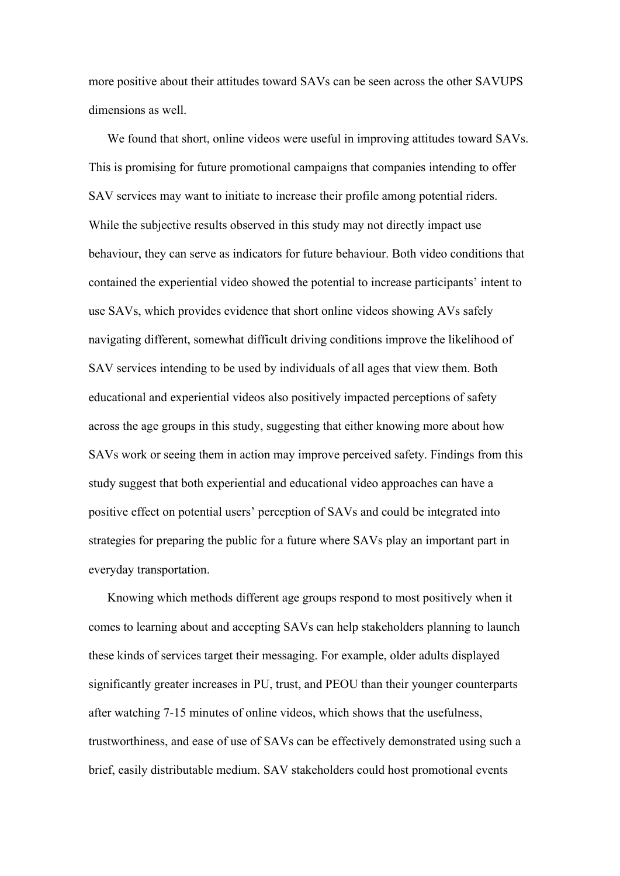more positive about their attitudes toward SAVs can be seen across the other SAVUPS dimensions as well.

We found that short, online videos were useful in improving attitudes toward SAVs. This is promising for future promotional campaigns that companies intending to offer SAV services may want to initiate to increase their profile among potential riders. While the subjective results observed in this study may not directly impact use behaviour, they can serve as indicators for future behaviour. Both video conditions that contained the experiential video showed the potential to increase participants' intent to use SAVs, which provides evidence that short online videos showing AVs safely navigating different, somewhat difficult driving conditions improve the likelihood of SAV services intending to be used by individuals of all ages that view them. Both educational and experiential videos also positively impacted perceptions of safety across the age groups in this study, suggesting that either knowing more about how SAVs work or seeing them in action may improve perceived safety. Findings from this study suggest that both experiential and educational video approaches can have a positive effect on potential users' perception of SAVs and could be integrated into strategies for preparing the public for a future where SAVs play an important part in everyday transportation.

Knowing which methods different age groups respond to most positively when it comes to learning about and accepting SAVs can help stakeholders planning to launch these kinds of services target their messaging. For example, older adults displayed significantly greater increases in PU, trust, and PEOU than their younger counterparts after watching 7-15 minutes of online videos, which shows that the usefulness, trustworthiness, and ease of use of SAVs can be effectively demonstrated using such a brief, easily distributable medium. SAV stakeholders could host promotional events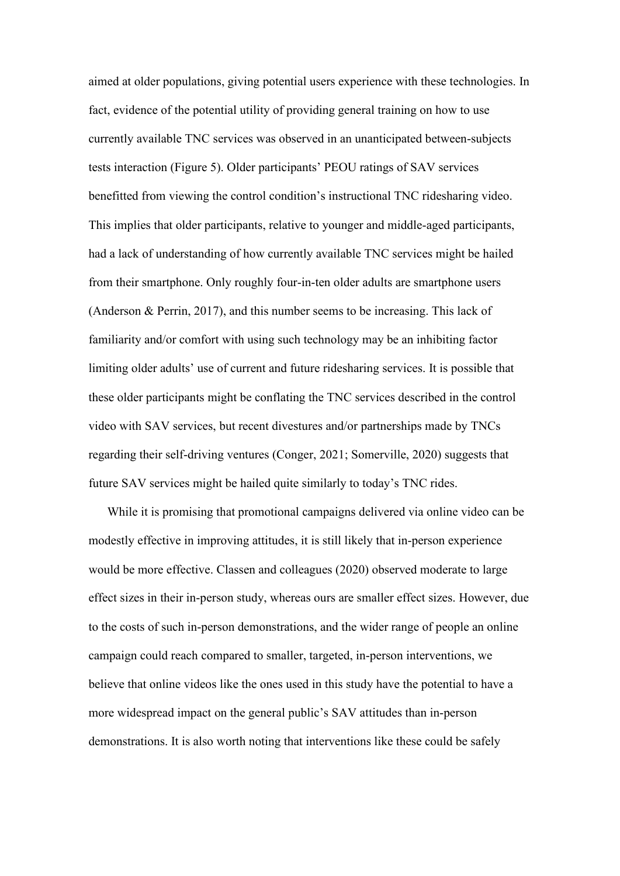aimed at older populations, giving potential users experience with these technologies. In fact, evidence of the potential utility of providing general training on how to use currently available TNC services was observed in an unanticipated between-subjects tests interaction (Figure 5). Older participants' PEOU ratings of SAV services benefitted from viewing the control condition's instructional TNC ridesharing video. This implies that older participants, relative to younger and middle-aged participants, had a lack of understanding of how currently available TNC services might be hailed from their smartphone. Only roughly four-in-ten older adults are smartphone users (Anderson & Perrin, 2017), and this number seems to be increasing. This lack of familiarity and/or comfort with using such technology may be an inhibiting factor limiting older adults' use of current and future ridesharing services. It is possible that these older participants might be conflating the TNC services described in the control video with SAV services, but recent divestures and/or partnerships made by TNCs regarding their self-driving ventures (Conger, 2021; Somerville, 2020) suggests that future SAV services might be hailed quite similarly to today's TNC rides.

While it is promising that promotional campaigns delivered via online video can be modestly effective in improving attitudes, it is still likely that in-person experience would be more effective. Classen and colleagues (2020) observed moderate to large effect sizes in their in-person study, whereas ours are smaller effect sizes. However, due to the costs of such in-person demonstrations, and the wider range of people an online campaign could reach compared to smaller, targeted, in-person interventions, we believe that online videos like the ones used in this study have the potential to have a more widespread impact on the general public's SAV attitudes than in-person demonstrations. It is also worth noting that interventions like these could be safely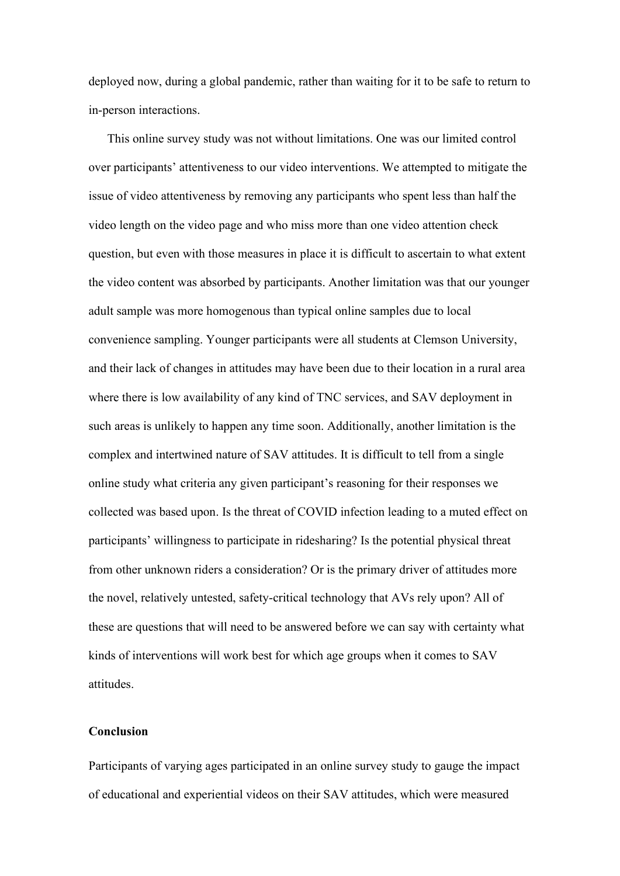deployed now, during a global pandemic, rather than waiting for it to be safe to return to in-person interactions.

This online survey study was not without limitations. One was our limited control over participants' attentiveness to our video interventions. We attempted to mitigate the issue of video attentiveness by removing any participants who spent less than half the video length on the video page and who miss more than one video attention check question, but even with those measures in place it is difficult to ascertain to what extent the video content was absorbed by participants. Another limitation was that our younger adult sample was more homogenous than typical online samples due to local convenience sampling. Younger participants were all students at Clemson University, and their lack of changes in attitudes may have been due to their location in a rural area where there is low availability of any kind of TNC services, and SAV deployment in such areas is unlikely to happen any time soon. Additionally, another limitation is the complex and intertwined nature of SAV attitudes. It is difficult to tell from a single online study what criteria any given participant's reasoning for their responses we collected was based upon. Is the threat of COVID infection leading to a muted effect on participants' willingness to participate in ridesharing? Is the potential physical threat from other unknown riders a consideration? Or is the primary driver of attitudes more the novel, relatively untested, safety-critical technology that AVs rely upon? All of these are questions that will need to be answered before we can say with certainty what kinds of interventions will work best for which age groups when it comes to SAV attitudes.

#### **Conclusion**

Participants of varying ages participated in an online survey study to gauge the impact of educational and experiential videos on their SAV attitudes, which were measured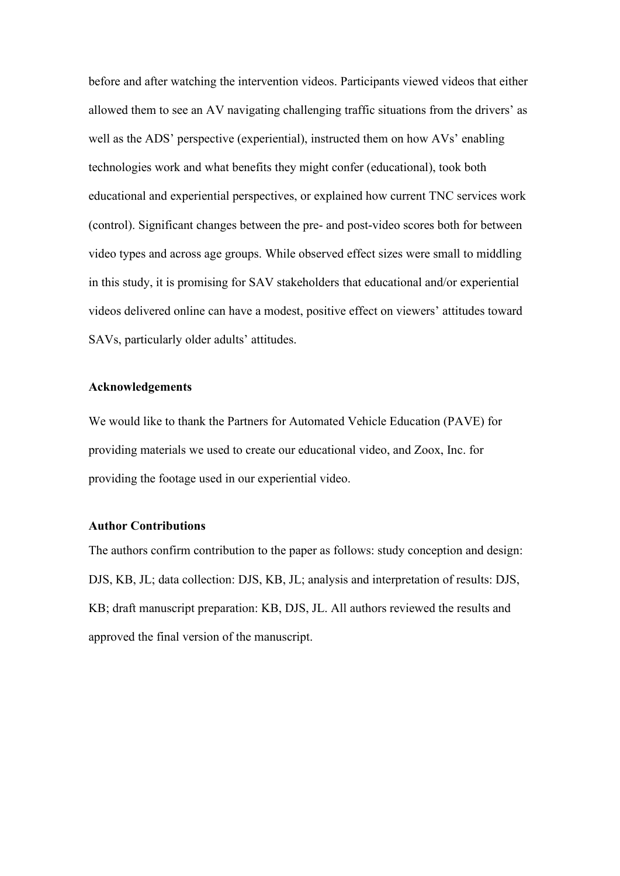before and after watching the intervention videos. Participants viewed videos that either allowed them to see an AV navigating challenging traffic situations from the drivers' as well as the ADS' perspective (experiential), instructed them on how AVs' enabling technologies work and what benefits they might confer (educational), took both educational and experiential perspectives, or explained how current TNC services work (control). Significant changes between the pre- and post-video scores both for between video types and across age groups. While observed effect sizes were small to middling in this study, it is promising for SAV stakeholders that educational and/or experiential videos delivered online can have a modest, positive effect on viewers' attitudes toward SAVs, particularly older adults' attitudes.

#### **Acknowledgements**

We would like to thank the Partners for Automated Vehicle Education (PAVE) for providing materials we used to create our educational video, and Zoox, Inc. for providing the footage used in our experiential video.

#### **Author Contributions**

The authors confirm contribution to the paper as follows: study conception and design: DJS, KB, JL; data collection: DJS, KB, JL; analysis and interpretation of results: DJS, KB; draft manuscript preparation: KB, DJS, JL. All authors reviewed the results and approved the final version of the manuscript.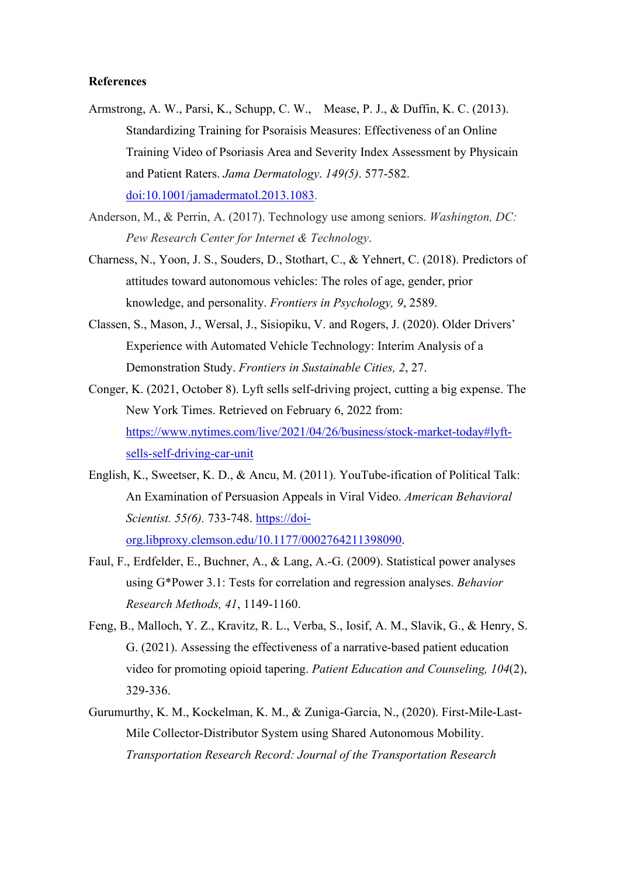#### **References**

- Armstrong, A. W., Parsi, K., Schupp, C. W., Mease, P. J., & Duffin, K. C. (2013). Standardizing Training for Psoraisis Measures: Effectiveness of an Online Training Video of Psoriasis Area and Severity Index Assessment by Physicain and Patient Raters. *Jama Dermatology*. *149(5)*. 577-582. doi:10.1001/jamadermatol.2013.1083.
- Anderson, M., & Perrin, A. (2017). Technology use among seniors. *Washington, DC: Pew Research Center for Internet & Technology*.
- Charness, N., Yoon, J. S., Souders, D., Stothart, C., & Yehnert, C. (2018). Predictors of attitudes toward autonomous vehicles: The roles of age, gender, prior knowledge, and personality. *Frontiers in Psychology, 9*, 2589.
- Classen, S., Mason, J., Wersal, J., Sisiopiku, V. and Rogers, J. (2020). Older Drivers' Experience with Automated Vehicle Technology: Interim Analysis of a Demonstration Study. *Frontiers in Sustainable Cities, 2*, 27.
- Conger, K. (2021, October 8). Lyft sells self-driving project, cutting a big expense. The New York Times. Retrieved on February 6, 2022 from: [https://www.nytimes.com/live/2021/04/26/business/stock-market-today#lyft](https://www.nytimes.com/live/2021/04/26/business/stock-market-today#lyft-sells-self-driving-car-unit)[sells-self-driving-car-unit](https://www.nytimes.com/live/2021/04/26/business/stock-market-today#lyft-sells-self-driving-car-unit)
- English, K., Sweetser, K. D., & Ancu, M. (2011). YouTube-ification of Political Talk: An Examination of Persuasion Appeals in Viral Video. *American Behavioral Scientist. 55(6).* 733-748. [https://doi](https://doi-org.libproxy.clemson.edu/10.1177%2F0002764211398090)[org.libproxy.clemson.edu/10.1177/0002764211398090.](https://doi-org.libproxy.clemson.edu/10.1177%2F0002764211398090)
- Faul, F., Erdfelder, E., Buchner, A., & Lang, A.-G. (2009). Statistical power analyses using G\*Power 3.1: Tests for correlation and regression analyses. *Behavior Research Methods, 41*, 1149-1160.
- Feng, B., Malloch, Y. Z., Kravitz, R. L., Verba, S., Iosif, A. M., Slavik, G., & Henry, S. G. (2021). Assessing the effectiveness of a narrative-based patient education video for promoting opioid tapering. *Patient Education and Counseling, 104*(2), 329-336.
- Gurumurthy, K. M., Kockelman, K. M., & Zuniga-Garcia, N., (2020). First-Mile-Last-Mile Collector-Distributor System using Shared Autonomous Mobility. *Transportation Research Record: Journal of the Transportation Research*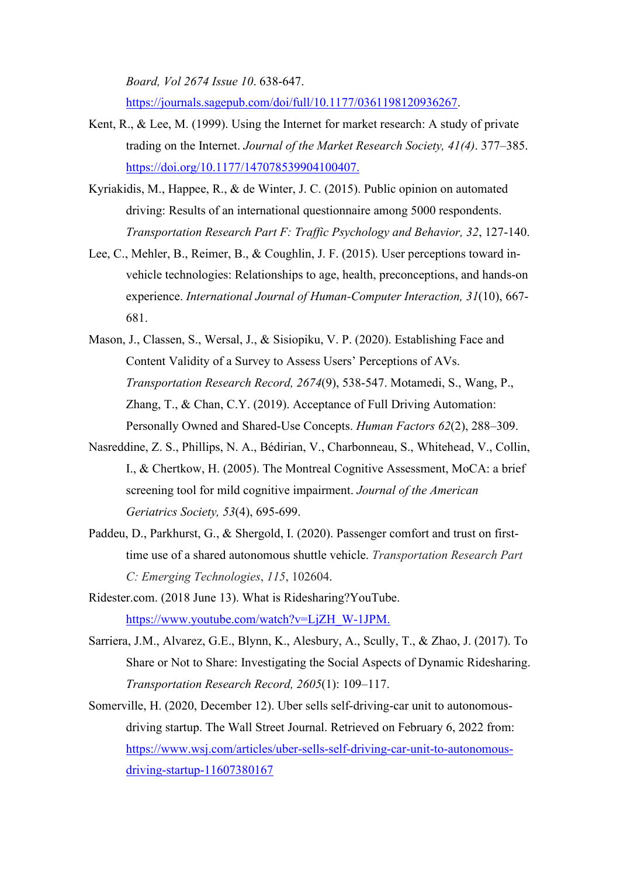*Board, Vol 2674 Issue 10*. 638-647. [https://journals.sagepub.com/doi/full/10.1177/0361198120936267.](https://journals.sagepub.com/doi/full/10.1177/0361198120936267)

- Kent, R., & Lee, M. (1999). Using the Internet for market research: A study of private trading on the Internet. *Journal of the Market Research Society, 41(4)*. 377–385. [https://doi.org/10.1177/147078539904100407.](https://psycnet.apa.org/doi/10.1177/147078539904100407)
- Kyriakidis, M., Happee, R., & de Winter, J. C. (2015). Public opinion on automated driving: Results of an international questionnaire among 5000 respondents. *Transportation Research Part F: Traffic Psychology and Behavior, 32*, 127-140.
- Lee, C., Mehler, B., Reimer, B., & Coughlin, J. F. (2015). User perceptions toward invehicle technologies: Relationships to age, health, preconceptions, and hands-on experience. *International Journal of Human-Computer Interaction, 31*(10), 667- 681.
- Mason, J., Classen, S., Wersal, J., & Sisiopiku, V. P. (2020). Establishing Face and Content Validity of a Survey to Assess Users' Perceptions of AVs. *Transportation Research Record, 2674*(9), 538-547. Motamedi, S., Wang, P., Zhang, T., & Chan, C.Y. (2019). Acceptance of Full Driving Automation: Personally Owned and Shared-Use Concepts. *Human Factors 62*(2), 288–309.
- Nasreddine, Z. S., Phillips, N. A., Bédirian, V., Charbonneau, S., Whitehead, V., Collin, I., & Chertkow, H. (2005). The Montreal Cognitive Assessment, MoCA: a brief screening tool for mild cognitive impairment. *Journal of the American Geriatrics Society, 53*(4), 695-699.
- Paddeu, D., Parkhurst, G., & Shergold, I. (2020). Passenger comfort and trust on firsttime use of a shared autonomous shuttle vehicle. *Transportation Research Part C: Emerging Technologies*, *115*, 102604.
- Ridester.com. (2018 June 13). What is Ridesharing?YouTube. [https://www.youtube.com/watch?v=LjZH\\_W-1JPM.](https://www.youtube.com/watch?v=LjZH_W-1JPM)
- Sarriera, J.M., Alvarez, G.E., Blynn, K., Alesbury, A., Scully, T., & Zhao, J. (2017). To Share or Not to Share: Investigating the Social Aspects of Dynamic Ridesharing. *Transportation Research Record, 2605*(1): 109–117.
- Somerville, H. (2020, December 12). Uber sells self-driving-car unit to autonomousdriving startup. The Wall Street Journal. Retrieved on February 6, 2022 from: [https://www.wsj.com/articles/uber-sells-self-driving-car-unit-to-autonomous](https://www.wsj.com/articles/uber-sells-self-driving-car-unit-to-autonomous-driving-startup-11607380167)[driving-startup-11607380167](https://www.wsj.com/articles/uber-sells-self-driving-car-unit-to-autonomous-driving-startup-11607380167)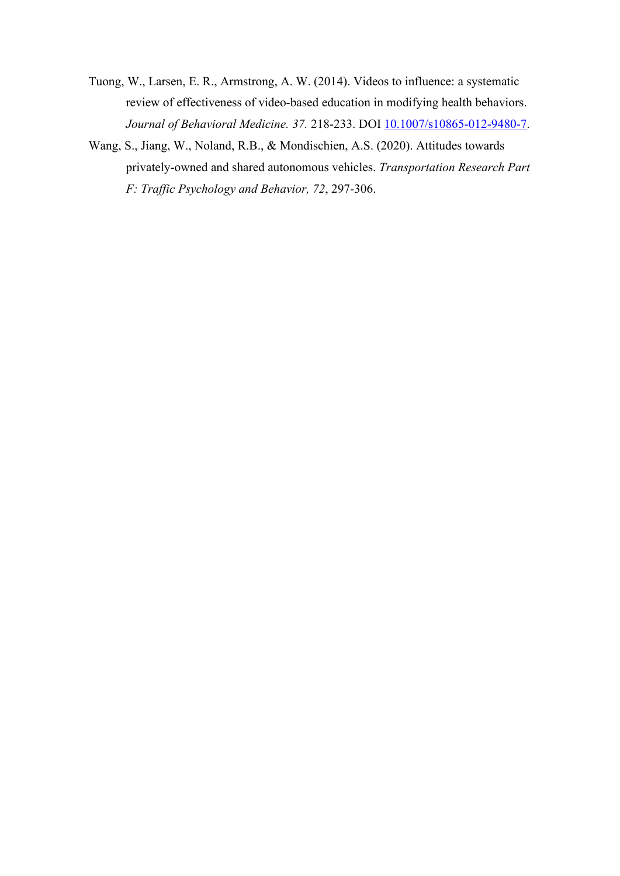- Tuong, W., Larsen, E. R., Armstrong, A. W. (2014). Videos to influence: a systematic review of effectiveness of video-based education in modifying health behaviors. *Journal of Behavioral Medicine. 37.* 218-233. DOI 10.1007/s10865-012-9480-7.
- Wang, S., Jiang, W., Noland, R.B., & Mondischien, A.S. (2020). Attitudes towards privately-owned and shared autonomous vehicles. *Transportation Research Part F: Traffic Psychology and Behavior, 72*, 297-306.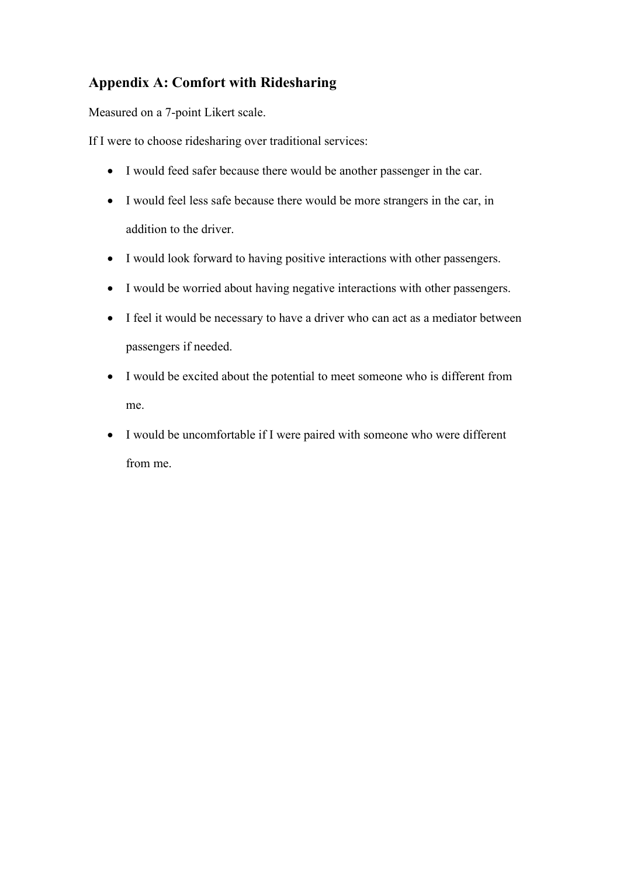# **Appendix A: Comfort with Ridesharing**

Measured on a 7-point Likert scale.

If I were to choose ridesharing over traditional services:

- I would feed safer because there would be another passenger in the car.
- I would feel less safe because there would be more strangers in the car, in addition to the driver.
- I would look forward to having positive interactions with other passengers.
- I would be worried about having negative interactions with other passengers.
- I feel it would be necessary to have a driver who can act as a mediator between passengers if needed.
- I would be excited about the potential to meet someone who is different from me.
- I would be uncomfortable if I were paired with someone who were different from me.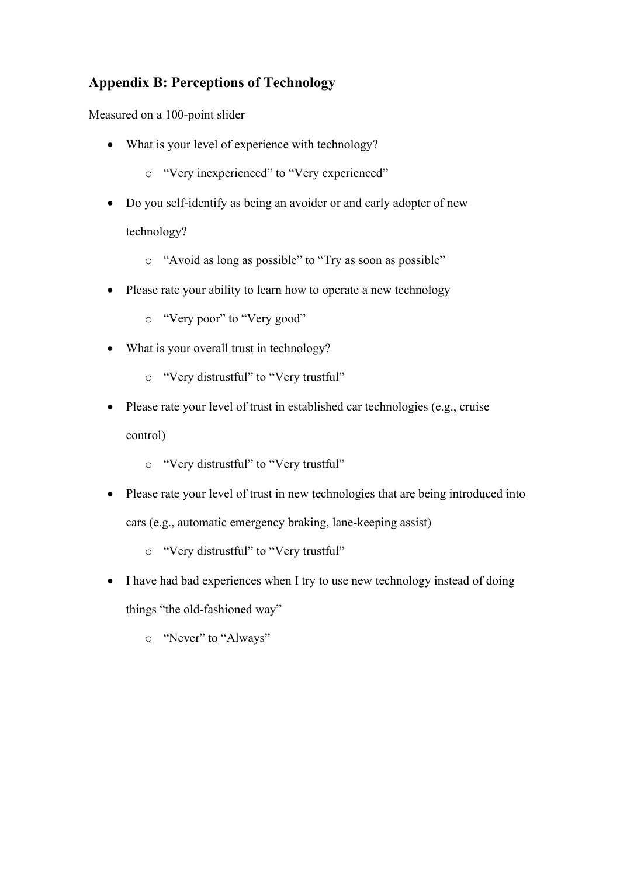# **Appendix B: Perceptions of Technology**

Measured on a 100-point slider

- What is your level of experience with technology?
	- o "Very inexperienced" to "Very experienced"
- Do you self-identify as being an avoider or and early adopter of new technology?
	- o "Avoid as long as possible" to "Try as soon as possible"
- Please rate your ability to learn how to operate a new technology
	- o "Very poor" to "Very good"
- What is your overall trust in technology?
	- o "Very distrustful" to "Very trustful"
- Please rate your level of trust in established car technologies (e.g., cruise control)
	- o "Very distrustful" to "Very trustful"
- Please rate your level of trust in new technologies that are being introduced into cars (e.g., automatic emergency braking, lane-keeping assist)
	- o "Very distrustful" to "Very trustful"
- I have had bad experiences when I try to use new technology instead of doing things "the old-fashioned way"
	- o "Never" to "Always"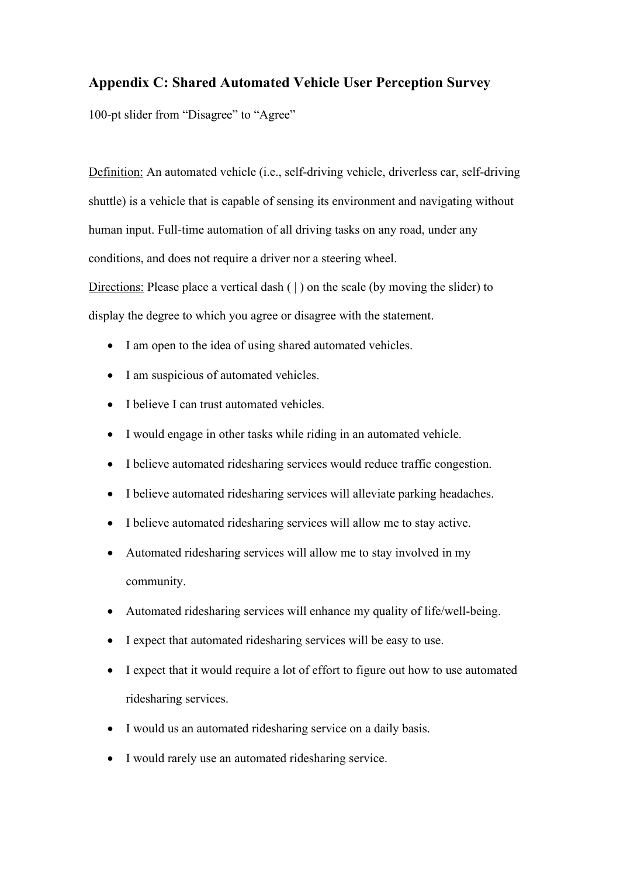# **Appendix C: Shared Automated Vehicle User Perception Survey**

100-pt slider from "Disagree" to "Agree"

Definition: An automated vehicle (i.e., self-driving vehicle, driverless car, self-driving shuttle) is a vehicle that is capable of sensing its environment and navigating without human input. Full-time automation of all driving tasks on any road, under any conditions, and does not require a driver nor a steering wheel. Directions: Please place a vertical dash ( | ) on the scale (by moving the slider) to

- display the degree to which you agree or disagree with the statement.
	- I am open to the idea of using shared automated vehicles.
	- I am suspicious of automated vehicles.
	- I believe I can trust automated vehicles.
	- I would engage in other tasks while riding in an automated vehicle.
	- I believe automated ridesharing services would reduce traffic congestion.
	- I believe automated ridesharing services will alleviate parking headaches.
	- I believe automated ridesharing services will allow me to stay active.
	- Automated ridesharing services will allow me to stay involved in my community.
	- Automated ridesharing services will enhance my quality of life/well-being.
	- I expect that automated ridesharing services will be easy to use.
	- I expect that it would require a lot of effort to figure out how to use automated ridesharing services.
	- I would us an automated ridesharing service on a daily basis.
	- I would rarely use an automated ridesharing service.